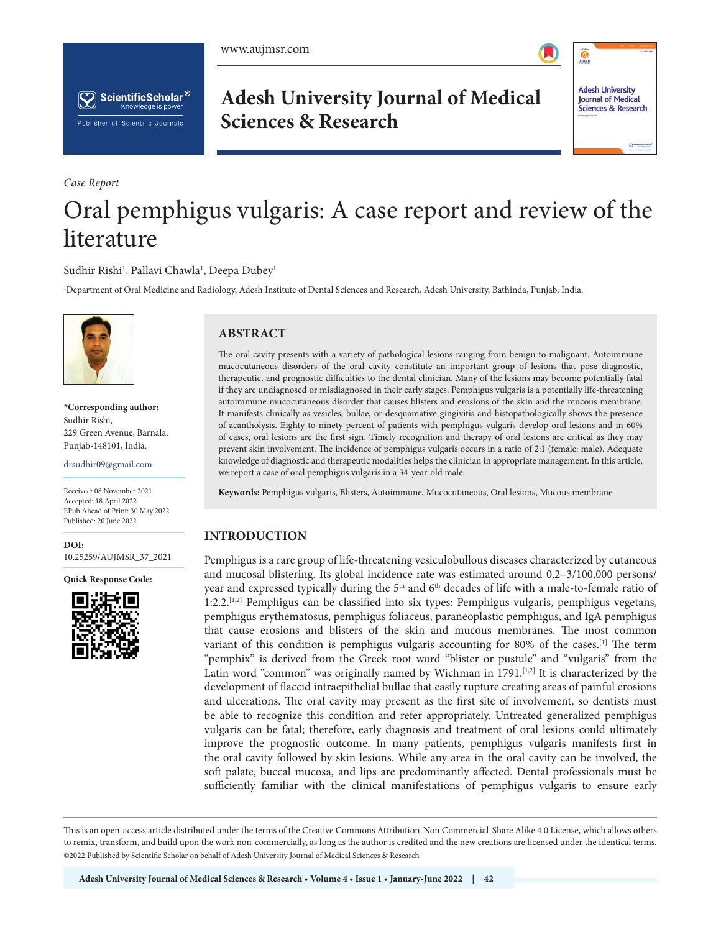

 $\ddot{\textbf{c}}$ 

**Adesh University** 

**Journal of Medical** 

Sciences & Research



**Adesh University Journal of Medical Sciences & Research**

*Case Report*

literature

# Oral pemphigus vulgaris: A case report and review of the

# Sudhir Rishi<sup>1</sup>, Pallavi Chawla<sup>1</sup>, Deepa Dubey<sup>1</sup>

1 Department of Oral Medicine and Radiology, Adesh Institute of Dental Sciences and Research, Adesh University, Bathinda, Punjab, India.



**\*Corresponding author:** Sudhir Rishi, 229 Green Avenue, Barnala, Punjab-148101, India.

drsudhir09@gmail.com

Received: 08 November 2021 Accepted: 18 April 2022 EPub Ahead of Print: 30 May 2022 Published: 20 June 2022

**DOI:** [10.25259/AUJMSR\\_37\\_2021](https://dx.doi.org/10.25259/AUJMSR_37_2021)

**Quick Response Code:**



# **ABSTRACT**

The oral cavity presents with a variety of pathological lesions ranging from benign to malignant. Autoimmune mucocutaneous disorders of the oral cavity constitute an important group of lesions that pose diagnostic, therapeutic, and prognostic difficulties to the dental clinician. Many of the lesions may become potentially fatal if they are undiagnosed or misdiagnosed in their early stages. Pemphigus vulgaris is a potentially life-threatening autoimmune mucocutaneous disorder that causes blisters and erosions of the skin and the mucous membrane. It manifests clinically as vesicles, bullae, or desquamative gingivitis and histopathologically shows the presence of acantholysis. Eighty to ninety percent of patients with pemphigus vulgaris develop oral lesions and in 60% of cases, oral lesions are the first sign. Timely recognition and therapy of oral lesions are critical as they may prevent skin involvement. The incidence of pemphigus vulgaris occurs in a ratio of 2:1 (female: male). Adequate knowledge of diagnostic and therapeutic modalities helps the clinician in appropriate management. In this article, we report a case of oral pemphigus vulgaris in a 34-year-old male.

**Keywords:** Pemphigus vulgaris, Blisters, Autoimmune, Mucocutaneous, Oral lesions, Mucous membrane

### **INTRODUCTION**

Pemphigus is a rare group of life-threatening vesiculobullous diseases characterized by cutaneous and mucosal blistering. Its global incidence rate was estimated around 0.2–3/100,000 persons/ year and expressed typically during the 5<sup>th</sup> and 6<sup>th</sup> decades of life with a male-to-female ratio of 1:2.2.[1,2] Pemphigus can be classified into six types: Pemphigus vulgaris, pemphigus vegetans, pemphigus erythematosus, pemphigus foliaceus, paraneoplastic pemphigus, and IgA pemphigus that cause erosions and blisters of the skin and mucous membranes. The most common variant of this condition is pemphigus vulgaris accounting for 80% of the cases.[1] The term "pemphix" is derived from the Greek root word "blister or pustule" and "vulgaris" from the Latin word "common" was originally named by Wichman in 1791.<sup>[1,2]</sup> It is characterized by the development of flaccid intraepithelial bullae that easily rupture creating areas of painful erosions and ulcerations. The oral cavity may present as the first site of involvement, so dentists must be able to recognize this condition and refer appropriately. Untreated generalized pemphigus vulgaris can be fatal; therefore, early diagnosis and treatment of oral lesions could ultimately improve the prognostic outcome. In many patients, pemphigus vulgaris manifests first in the oral cavity followed by skin lesions. While any area in the oral cavity can be involved, the soft palate, buccal mucosa, and lips are predominantly affected. Dental professionals must be sufficiently familiar with the clinical manifestations of pemphigus vulgaris to ensure early

This is an open-access article distributed under the terms of the Creative Commons Attribution-Non Commercial-Share Alike 4.0 License, which allows others to remix, transform, and build upon the work non-commercially, as long as the author is credited and the new creations are licensed under the identical terms. ©2022 Published by Scientific Scholar on behalf of Adesh University Journal of Medical Sciences & Research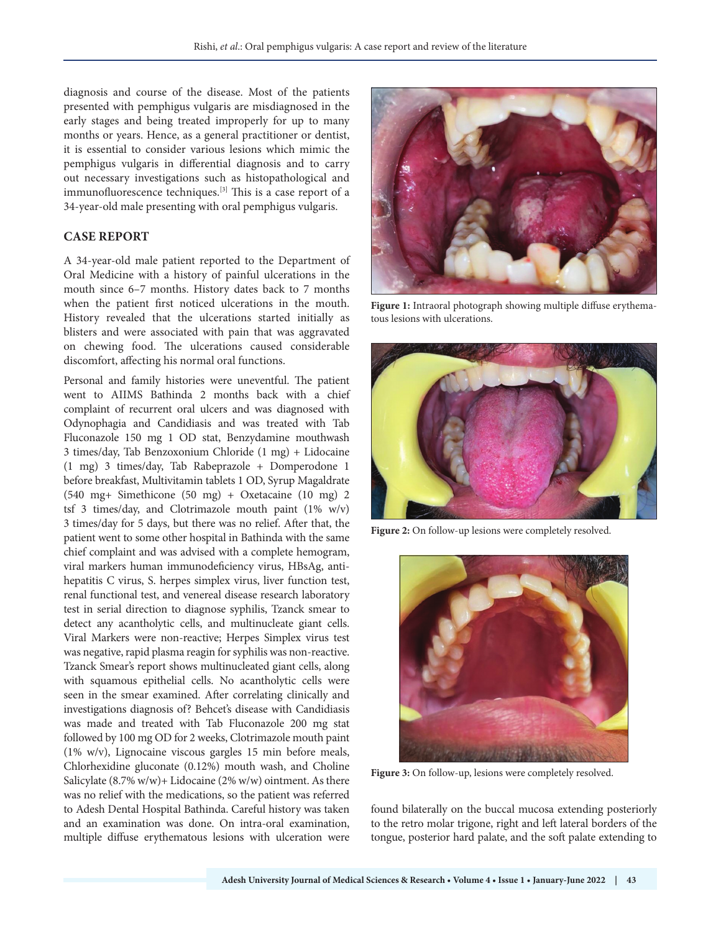diagnosis and course of the disease. Most of the patients presented with pemphigus vulgaris are misdiagnosed in the early stages and being treated improperly for up to many months or years. Hence, as a general practitioner or dentist, it is essential to consider various lesions which mimic the pemphigus vulgaris in differential diagnosis and to carry out necessary investigations such as histopathological and immunofluorescence techniques.<sup>[3]</sup> This is a case report of a 34-year-old male presenting with oral pemphigus vulgaris.

# **CASE REPORT**

A 34-year-old male patient reported to the Department of Oral Medicine with a history of painful ulcerations in the mouth since 6–7 months. History dates back to 7 months when the patient first noticed ulcerations in the mouth. History revealed that the ulcerations started initially as blisters and were associated with pain that was aggravated on chewing food. The ulcerations caused considerable discomfort, affecting his normal oral functions.

Personal and family histories were uneventful. The patient went to AIIMS Bathinda 2 months back with a chief complaint of recurrent oral ulcers and was diagnosed with Odynophagia and Candidiasis and was treated with Tab Fluconazole 150 mg 1 OD stat, Benzydamine mouthwash 3 times/day, Tab Benzoxonium Chloride (1 mg) + Lidocaine (1 mg) 3 times/day, Tab Rabeprazole + Domperodone 1 before breakfast, Multivitamin tablets 1 OD, Syrup Magaldrate (540 mg+ Simethicone (50 mg) + Oxetacaine (10 mg) 2 tsf 3 times/day, and Clotrimazole mouth paint (1% w/v) 3 times/day for 5 days, but there was no relief. After that, the patient went to some other hospital in Bathinda with the same chief complaint and was advised with a complete hemogram, viral markers human immunodeficiency virus, HBsAg, antihepatitis C virus, S. herpes simplex virus, liver function test, renal functional test, and venereal disease research laboratory test in serial direction to diagnose syphilis, Tzanck smear to detect any acantholytic cells, and multinucleate giant cells. Viral Markers were non-reactive; Herpes Simplex virus test was negative, rapid plasma reagin for syphilis was non-reactive. Tzanck Smear's report shows multinucleated giant cells, along with squamous epithelial cells. No acantholytic cells were seen in the smear examined. After correlating clinically and investigations diagnosis of? Behcet's disease with Candidiasis was made and treated with Tab Fluconazole 200 mg stat followed by 100 mg OD for 2 weeks, Clotrimazole mouth paint (1% w/v), Lignocaine viscous gargles 15 min before meals, Chlorhexidine gluconate (0.12%) mouth wash, and Choline Salicylate (8.7% w/w)+ Lidocaine (2% w/w) ointment. As there was no relief with the medications, so the patient was referred to Adesh Dental Hospital Bathinda. Careful history was taken and an examination was done. On intra-oral examination, multiple diffuse erythematous lesions with ulceration were



**Figure 1:** Intraoral photograph showing multiple diffuse erythematous lesions with ulcerations.



Figure 2: On follow-up lesions were completely resolved.



**Figure 3:** On follow-up, lesions were completely resolved.

found bilaterally on the buccal mucosa extending posteriorly to the retro molar trigone, right and left lateral borders of the tongue, posterior hard palate, and the soft palate extending to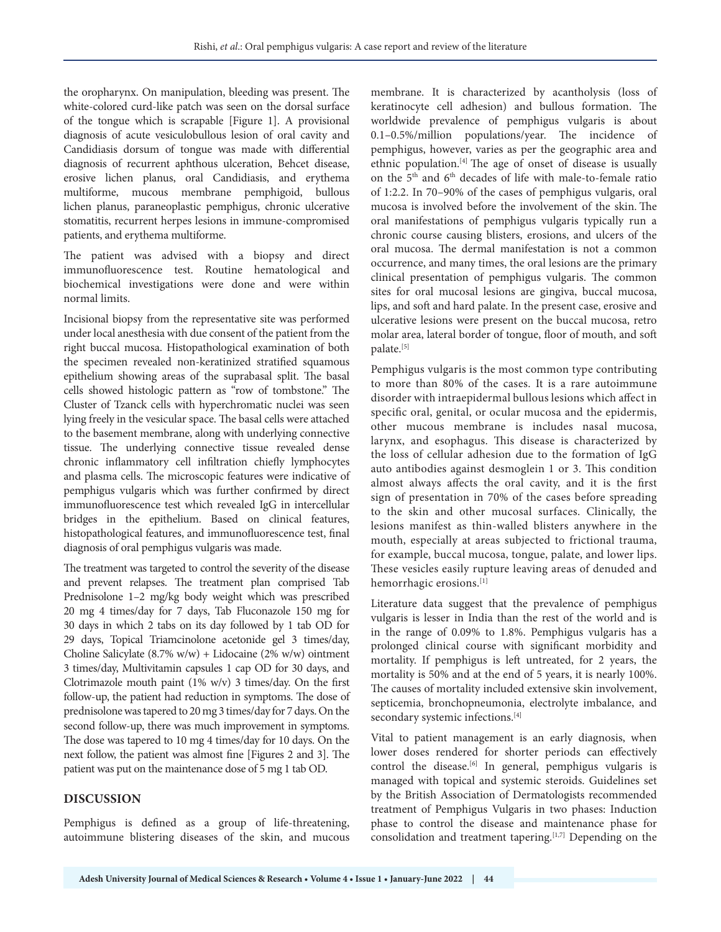the oropharynx. On manipulation, bleeding was present. The white-colored curd-like patch was seen on the dorsal surface of the tongue which is scrapable [Figure 1]. A provisional diagnosis of acute vesiculobullous lesion of oral cavity and Candidiasis dorsum of tongue was made with differential diagnosis of recurrent aphthous ulceration, Behcet disease, erosive lichen planus, oral Candidiasis, and erythema multiforme, mucous membrane pemphigoid, bullous lichen planus, paraneoplastic pemphigus, chronic ulcerative stomatitis, recurrent herpes lesions in immune-compromised patients, and erythema multiforme.

The patient was advised with a biopsy and direct immunofluorescence test. Routine hematological and biochemical investigations were done and were within normal limits.

Incisional biopsy from the representative site was performed under local anesthesia with due consent of the patient from the right buccal mucosa. Histopathological examination of both the specimen revealed non-keratinized stratified squamous epithelium showing areas of the suprabasal split. The basal cells showed histologic pattern as "row of tombstone." The Cluster of Tzanck cells with hyperchromatic nuclei was seen lying freely in the vesicular space. The basal cells were attached to the basement membrane, along with underlying connective tissue. The underlying connective tissue revealed dense chronic inflammatory cell infiltration chiefly lymphocytes and plasma cells. The microscopic features were indicative of pemphigus vulgaris which was further confirmed by direct immunofluorescence test which revealed IgG in intercellular bridges in the epithelium. Based on clinical features, histopathological features, and immunofluorescence test, final diagnosis of oral pemphigus vulgaris was made.

The treatment was targeted to control the severity of the disease and prevent relapses. The treatment plan comprised Tab Prednisolone 1–2 mg/kg body weight which was prescribed 20 mg 4 times/day for 7 days, Tab Fluconazole 150 mg for 30 days in which 2 tabs on its day followed by 1 tab OD for 29 days, Topical Triamcinolone acetonide gel 3 times/day, Choline Salicylate (8.7% w/w) + Lidocaine (2% w/w) ointment 3 times/day, Multivitamin capsules 1 cap OD for 30 days, and Clotrimazole mouth paint  $(1\% \text{ w/v})$  3 times/day. On the first follow-up, the patient had reduction in symptoms. The dose of prednisolone was tapered to 20 mg 3 times/day for 7 days. On the second follow-up, there was much improvement in symptoms. The dose was tapered to 10 mg 4 times/day for 10 days. On the next follow, the patient was almost fine [Figures 2 and 3]. The patient was put on the maintenance dose of 5 mg 1 tab OD.

### **DISCUSSION**

Pemphigus is defined as a group of life-threatening, autoimmune blistering diseases of the skin, and mucous membrane. It is characterized by acantholysis (loss of keratinocyte cell adhesion) and bullous formation. The worldwide prevalence of pemphigus vulgaris is about 0.1–0.5%/million populations/year. The incidence of pemphigus, however, varies as per the geographic area and ethnic population.[4] The age of onset of disease is usually on the 5<sup>th</sup> and 6<sup>th</sup> decades of life with male-to-female ratio of 1:2.2. In 70–90% of the cases of pemphigus vulgaris, oral mucosa is involved before the involvement of the skin. The oral manifestations of pemphigus vulgaris typically run a chronic course causing blisters, erosions, and ulcers of the oral mucosa. The dermal manifestation is not a common occurrence, and many times, the oral lesions are the primary clinical presentation of pemphigus vulgaris. The common sites for oral mucosal lesions are gingiva, buccal mucosa, lips, and soft and hard palate. In the present case, erosive and ulcerative lesions were present on the buccal mucosa, retro molar area, lateral border of tongue, floor of mouth, and soft palate.[5]

Pemphigus vulgaris is the most common type contributing to more than 80% of the cases. It is a rare autoimmune disorder with intraepidermal bullous lesions which affect in specific oral, genital, or ocular mucosa and the epidermis, other mucous membrane is includes nasal mucosa, larynx, and esophagus. This disease is characterized by the loss of cellular adhesion due to the formation of IgG auto antibodies against desmoglein 1 or 3. This condition almost always affects the oral cavity, and it is the first sign of presentation in 70% of the cases before spreading to the skin and other mucosal surfaces. Clinically, the lesions manifest as thin-walled blisters anywhere in the mouth, especially at areas subjected to frictional trauma, for example, buccal mucosa, tongue, palate, and lower lips. These vesicles easily rupture leaving areas of denuded and hemorrhagic erosions.[1]

Literature data suggest that the prevalence of pemphigus vulgaris is lesser in India than the rest of the world and is in the range of 0.09% to 1.8%. Pemphigus vulgaris has a prolonged clinical course with significant morbidity and mortality. If pemphigus is left untreated, for 2 years, the mortality is 50% and at the end of 5 years, it is nearly 100%. The causes of mortality included extensive skin involvement, septicemia, bronchopneumonia, electrolyte imbalance, and secondary systemic infections.<sup>[4]</sup>

Vital to patient management is an early diagnosis, when lower doses rendered for shorter periods can effectively control the disease.<sup>[6]</sup> In general, pemphigus vulgaris is managed with topical and systemic steroids. Guidelines set by the British Association of Dermatologists recommended treatment of Pemphigus Vulgaris in two phases: Induction phase to control the disease and maintenance phase for consolidation and treatment tapering.[1,7] Depending on the